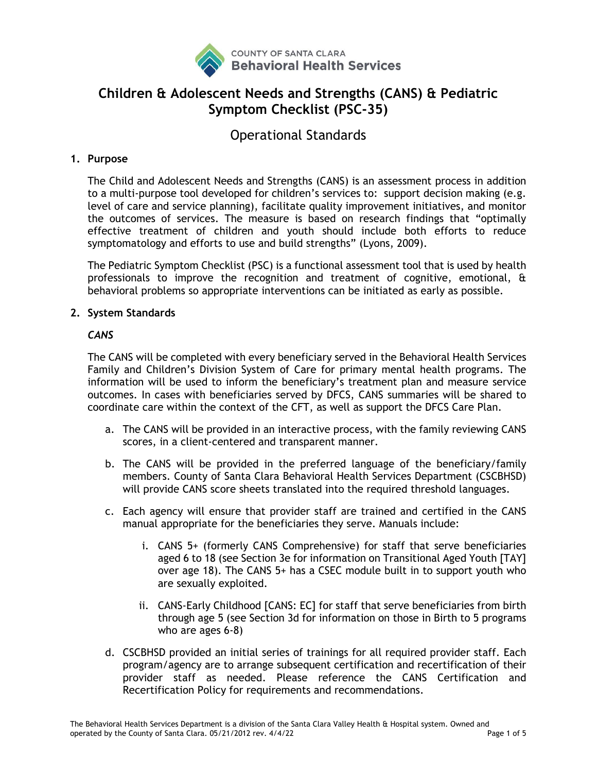

# **Children & Adolescent Needs and Strengths (CANS) & Pediatric Symptom Checklist (PSC-35)**

Operational Standards

## **1. Purpose**

The Child and Adolescent Needs and Strengths (CANS) is an assessment process in addition to a multi-purpose tool developed for children's services to: support decision making (e.g. level of care and service planning), facilitate quality improvement initiatives, and monitor the outcomes of services. The measure is based on research findings that "optimally effective treatment of children and youth should include both efforts to reduce symptomatology and efforts to use and build strengths" (Lyons, 2009).

The Pediatric Symptom Checklist (PSC) is a functional assessment tool that is used by health professionals to improve the recognition and treatment of cognitive, emotional, & behavioral problems so appropriate interventions can be initiated as early as possible.

### **2. System Standards**

### *CANS*

The CANS will be completed with every beneficiary served in the Behavioral Health Services Family and Children's Division System of Care for primary mental health programs. The information will be used to inform the beneficiary's treatment plan and measure service outcomes. In cases with beneficiaries served by DFCS, CANS summaries will be shared to coordinate care within the context of the CFT, as well as support the DFCS Care Plan.

- a. The CANS will be provided in an interactive process, with the family reviewing CANS scores, in a client-centered and transparent manner.
- b. The CANS will be provided in the preferred language of the beneficiary/family members. County of Santa Clara Behavioral Health Services Department (CSCBHSD) will provide CANS score sheets translated into the required threshold languages.
- c. Each agency will ensure that provider staff are trained and certified in the CANS manual appropriate for the beneficiaries they serve. Manuals include:
	- i. CANS 5+ (formerly CANS Comprehensive) for staff that serve beneficiaries aged 6 to 18 (see Section 3e for information on Transitional Aged Youth [TAY] over age 18). The CANS 5+ has a CSEC module built in to support youth who are sexually exploited.
	- ii. CANS-Early Childhood [CANS: EC] for staff that serve beneficiaries from birth through age 5 (see Section 3d for information on those in Birth to 5 programs who are ages 6-8)
- d. CSCBHSD provided an initial series of trainings for all required provider staff. Each program/agency are to arrange subsequent certification and recertification of their provider staff as needed. Please reference the CANS Certification and Recertification Policy for requirements and recommendations.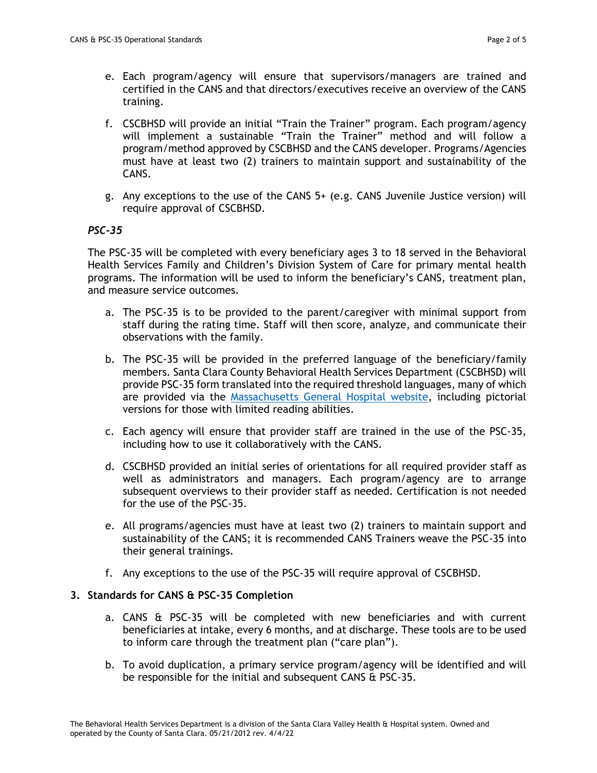- e. Each program/agency will ensure that supervisors/managers are trained and certified in the CANS and that directors/executives receive an overview of the CANS training.
- f. CSCBHSD will provide an initial "Train the Trainer" program. Each program/agency will implement a sustainable "Train the Trainer" method and will follow a program/method approved by CSCBHSD and the CANS developer. Programs/Agencies must have at least two (2) trainers to maintain support and sustainability of the CANS.
- g. Any exceptions to the use of the CANS 5+ (e.g. CANS Juvenile Justice version) will require approval of CSCBHSD.

### *PSC-35*

The PSC-35 will be completed with every beneficiary ages 3 to 18 served in the Behavioral Health Services Family and Children's Division System of Care for primary mental health programs. The information will be used to inform the beneficiary's CANS, treatment plan, and measure service outcomes.

- a. The PSC-35 is to be provided to the parent/caregiver with minimal support from staff during the rating time. Staff will then score, analyze, and communicate their observations with the family.
- b. The PSC-35 will be provided in the preferred language of the beneficiary/family members. Santa Clara County Behavioral Health Services Department (CSCBHSD) will provide PSC-35 form translated into the required threshold languages, many of which are provided via the [Massachusetts General Hospital website,](https://www.massgeneral.org/psychiatry/services/psc_forms.aspx) including pictorial versions for those with limited reading abilities.
- c. Each agency will ensure that provider staff are trained in the use of the PSC-35, including how to use it collaboratively with the CANS.
- d. CSCBHSD provided an initial series of orientations for all required provider staff as well as administrators and managers. Each program/agency are to arrange subsequent overviews to their provider staff as needed. Certification is not needed for the use of the PSC-35.
- e. All programs/agencies must have at least two (2) trainers to maintain support and sustainability of the CANS; it is recommended CANS Trainers weave the PSC-35 into their general trainings.
- f. Any exceptions to the use of the PSC-35 will require approval of CSCBHSD.

### **3. Standards for CANS & PSC-35 Completion**

- a. CANS & PSC-35 will be completed with new beneficiaries and with current beneficiaries at intake, every 6 months, and at discharge. These tools are to be used to inform care through the treatment plan ("care plan").
- b. To avoid duplication, a primary service program/agency will be identified and will be responsible for the initial and subsequent CANS & PSC-35.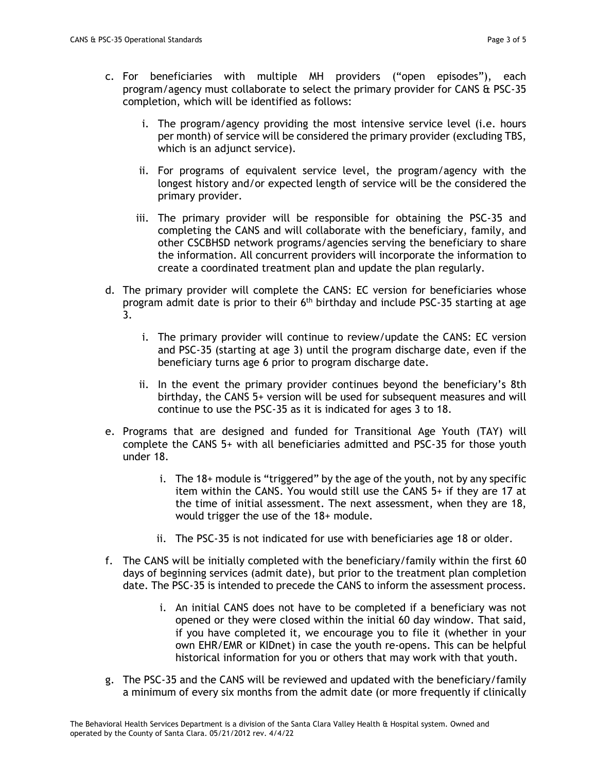- i. The program/agency providing the most intensive service level (i.e. hours per month) of service will be considered the primary provider (excluding TBS, which is an adjunct service).
- ii. For programs of equivalent service level, the program/agency with the longest history and/or expected length of service will be the considered the primary provider.
- iii. The primary provider will be responsible for obtaining the PSC-35 and completing the CANS and will collaborate with the beneficiary, family, and other CSCBHSD network programs/agencies serving the beneficiary to share the information. All concurrent providers will incorporate the information to create a coordinated treatment plan and update the plan regularly.
- d. The primary provider will complete the CANS: EC version for beneficiaries whose program admit date is prior to their 6<sup>th</sup> birthday and include PSC-35 starting at age 3.
	- i. The primary provider will continue to review/update the CANS: EC version and PSC-35 (starting at age 3) until the program discharge date, even if the beneficiary turns age 6 prior to program discharge date.
	- ii. In the event the primary provider continues beyond the beneficiary's 8th birthday, the CANS 5+ version will be used for subsequent measures and will continue to use the PSC-35 as it is indicated for ages 3 to 18.
- e. Programs that are designed and funded for Transitional Age Youth (TAY) will complete the CANS 5+ with all beneficiaries admitted and PSC-35 for those youth under 18.
	- i. The 18+ module is "triggered" by the age of the youth, not by any specific item within the CANS. You would still use the CANS 5+ if they are 17 at the time of initial assessment. The next assessment, when they are 18, would trigger the use of the 18+ module.
	- ii. The PSC-35 is not indicated for use with beneficiaries age 18 or older.
- f. The CANS will be initially completed with the beneficiary/family within the first 60 days of beginning services (admit date), but prior to the treatment plan completion date. The PSC-35 is intended to precede the CANS to inform the assessment process.
	- i. An initial CANS does not have to be completed if a beneficiary was not opened or they were closed within the initial 60 day window. That said, if you have completed it, we encourage you to file it (whether in your own EHR/EMR or KIDnet) in case the youth re-opens. This can be helpful historical information for you or others that may work with that youth.
- g. The PSC-35 and the CANS will be reviewed and updated with the beneficiary/family a minimum of every six months from the admit date (or more frequently if clinically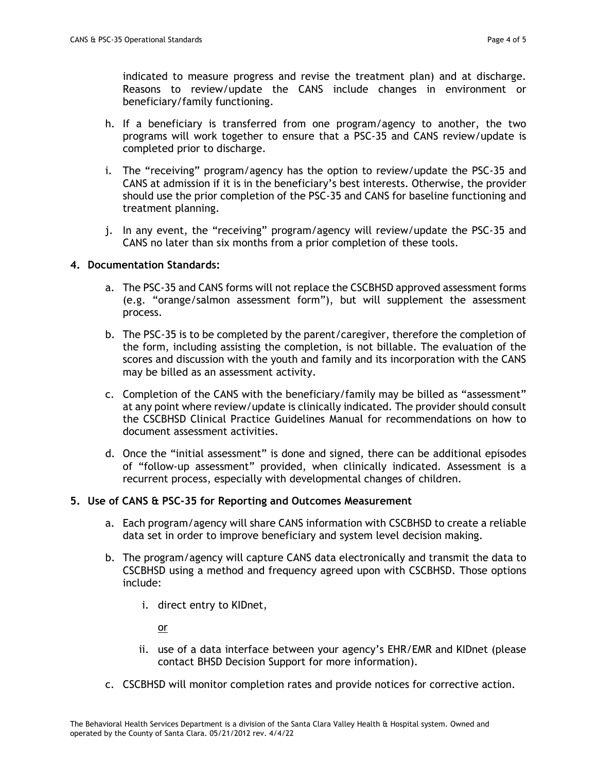indicated to measure progress and revise the treatment plan) and at discharge. Reasons to review/update the CANS include changes in environment or beneficiary/family functioning.

- h. If a beneficiary is transferred from one program/agency to another, the two programs will work together to ensure that a PSC-35 and CANS review/update is completed prior to discharge.
- i. The "receiving" program/agency has the option to review/update the PSC-35 and CANS at admission if it is in the beneficiary's best interests. Otherwise, the provider should use the prior completion of the PSC-35 and CANS for baseline functioning and treatment planning.
- j. In any event, the "receiving" program/agency will review/update the PSC-35 and CANS no later than six months from a prior completion of these tools.

#### **4. Documentation Standards:**

- a. The PSC-35 and CANS forms will not replace the CSCBHSD approved assessment forms (e.g. "orange/salmon assessment form"), but will supplement the assessment process.
- b. The PSC-35 is to be completed by the parent/caregiver, therefore the completion of the form, including assisting the completion, is not billable. The evaluation of the scores and discussion with the youth and family and its incorporation with the CANS may be billed as an assessment activity.
- c. Completion of the CANS with the beneficiary/family may be billed as "assessment" at any point where review/update is clinically indicated. The provider should consult the CSCBHSD Clinical Practice Guidelines Manual for recommendations on how to document assessment activities.
- d. Once the "initial assessment" is done and signed, there can be additional episodes of "follow-up assessment" provided, when clinically indicated. Assessment is a recurrent process, especially with developmental changes of children.

### **5. Use of CANS & PSC-35 for Reporting and Outcomes Measurement**

- a. Each program/agency will share CANS information with CSCBHSD to create a reliable data set in order to improve beneficiary and system level decision making.
- b. The program/agency will capture CANS data electronically and transmit the data to CSCBHSD using a method and frequency agreed upon with CSCBHSD. Those options include:
	- i. direct entry to KIDnet,

or

- ii. use of a data interface between your agency's EHR/EMR and KIDnet (please contact BHSD Decision Support for more information).
- c. CSCBHSD will monitor completion rates and provide notices for corrective action.